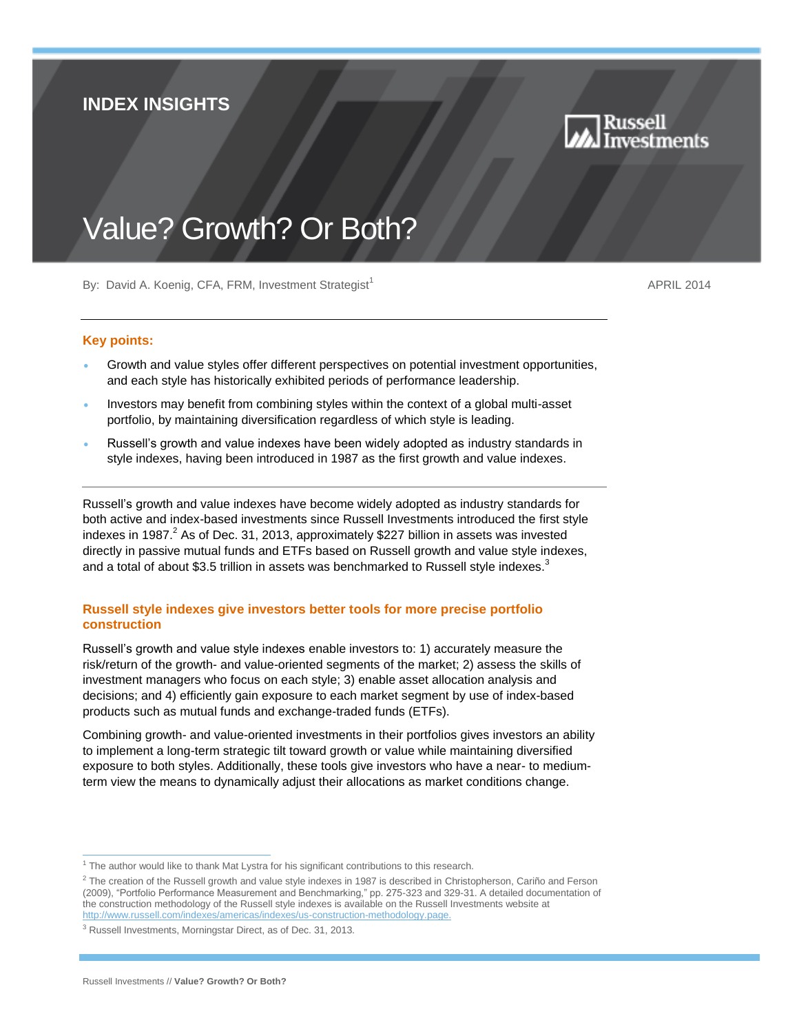# **INDEX INSIGHTS**



# Value? Growth? Or Both?

By: David A. Koenig, CFA, FRM, Investment Strategist<sup>1</sup>

APRIL 2014

### **Key points:**

- Growth and value styles offer different perspectives on potential investment opportunities, and each style has historically exhibited periods of performance leadership.
- Investors may benefit from combining styles within the context of a global multi-asset portfolio, by maintaining diversification regardless of which style is leading.
- Russell's growth and value indexes have been widely adopted as industry standards in style indexes, having been introduced in 1987 as the first growth and value indexes.

Russell's growth and value indexes have become widely adopted as industry standards for both active and index-based investments since Russell Investments introduced the first style indexes in 1987. $^2$  As of Dec. 31, 2013, approximately \$227 billion in assets was invested directly in passive mutual funds and ETFs based on Russell growth and value style indexes, and a total of about \$3.5 trillion in assets was benchmarked to Russell style indexes. $3$ 

# **Russell style indexes give investors better tools for more precise portfolio construction**

Russell's growth and value style indexes enable investors to: 1) accurately measure the risk/return of the growth- and value-oriented segments of the market; 2) assess the skills of investment managers who focus on each style; 3) enable asset allocation analysis and decisions; and 4) efficiently gain exposure to each market segment by use of index-based products such as mutual funds and exchange-traded funds (ETFs).

Combining growth- and value-oriented investments in their portfolios gives investors an ability to implement a long-term strategic tilt toward growth or value while maintaining diversified exposure to both styles. Additionally, these tools give investors who have a near- to mediumterm view the means to dynamically adjust their allocations as market conditions change.

<sup>1</sup>  $1$  The author would like to thank Mat Lystra for his significant contributions to this research.

 $^2$  The creation of the Russell growth and value style indexes in 1987 is described in Christopherson, Cariño and Ferson (2009), "Portfolio Performance Measurement and Benchmarking," pp. 275-323 and 329-31. A detailed documentation of the construction methodology of the Russell style indexes is available on the Russell Investments website at [http://www.russell.com/indexes/americas/indexes/us-construction-methodology.page.](http://www.russell.com/indexes/americas/indexes/us-construction-methodology.page)

<sup>3</sup> Russell Investments, Morningstar Direct, as of Dec. 31, 2013.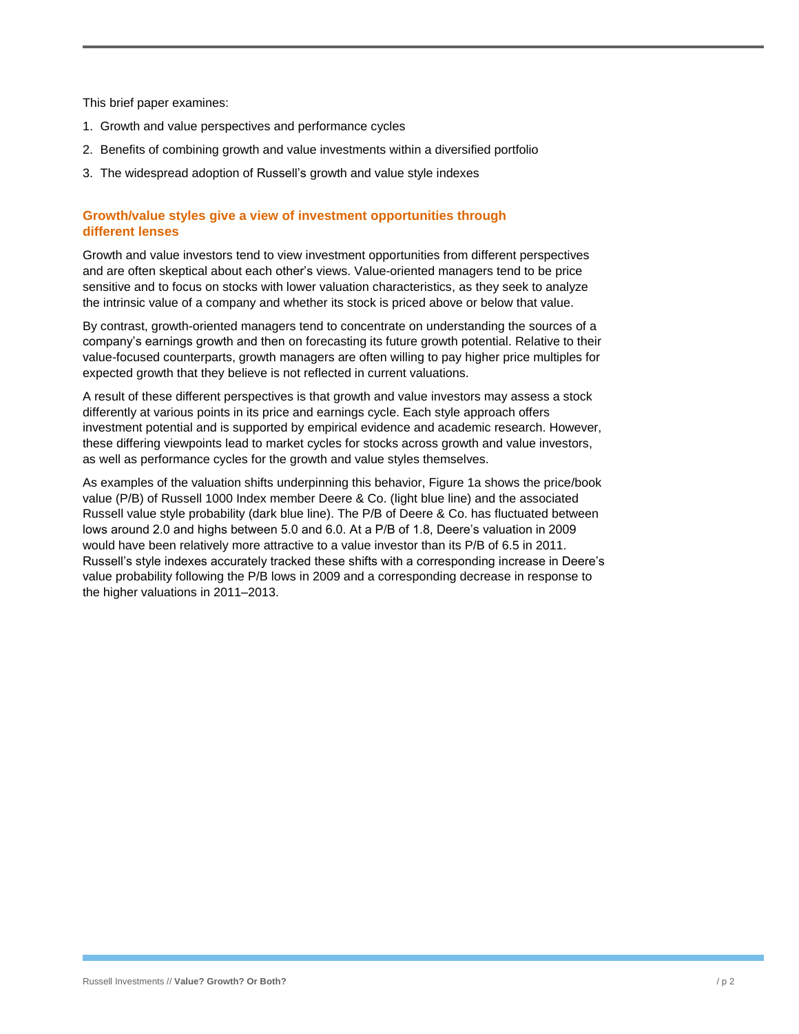This brief paper examines:

- 1. Growth and value perspectives and performance cycles
- 2. Benefits of combining growth and value investments within a diversified portfolio
- 3. The widespread adoption of Russell's growth and value style indexes

# **Growth/value styles give a view of investment opportunities through different lenses**

Growth and value investors tend to view investment opportunities from different perspectives and are often skeptical about each other's views. Value-oriented managers tend to be price sensitive and to focus on stocks with lower valuation characteristics, as they seek to analyze the intrinsic value of a company and whether its stock is priced above or below that value.

By contrast, growth-oriented managers tend to concentrate on understanding the sources of a company's earnings growth and then on forecasting its future growth potential. Relative to their value-focused counterparts, growth managers are often willing to pay higher price multiples for expected growth that they believe is not reflected in current valuations.

A result of these different perspectives is that growth and value investors may assess a stock differently at various points in its price and earnings cycle. Each style approach offers investment potential and is supported by empirical evidence and academic research. However, these differing viewpoints lead to market cycles for stocks across growth and value investors, as well as performance cycles for the growth and value styles themselves.

As examples of the valuation shifts underpinning this behavior, Figure 1a shows the price/book value (P/B) of Russell 1000 Index member Deere & Co. (light blue line) and the associated Russell value style probability (dark blue line). The P/B of Deere & Co. has fluctuated between lows around 2.0 and highs between 5.0 and 6.0. At a P/B of 1.8, Deere's valuation in 2009 would have been relatively more attractive to a value investor than its P/B of 6.5 in 2011. Russell's style indexes accurately tracked these shifts with a corresponding increase in Deere's value probability following the P/B lows in 2009 and a corresponding decrease in response to the higher valuations in 2011–2013.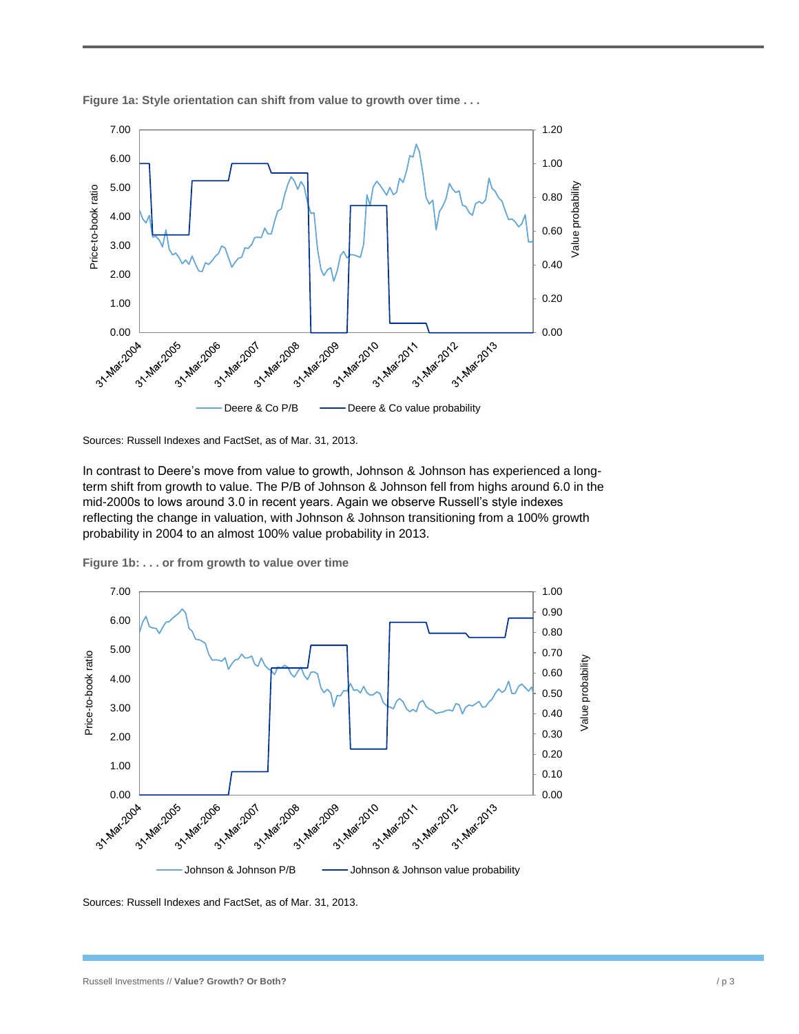

**Figure 1a: Style orientation can shift from value to growth over time . . .**

Sources: Russell Indexes and FactSet, as of Mar. 31, 2013.

In contrast to Deere's move from value to growth, Johnson & Johnson has experienced a longterm shift from growth to value. The P/B of Johnson & Johnson fell from highs around 6.0 in the mid-2000s to lows around 3.0 in recent years. Again we observe Russell's style indexes reflecting the change in valuation, with Johnson & Johnson transitioning from a 100% growth probability in 2004 to an almost 100% value probability in 2013.





Sources: Russell Indexes and FactSet, as of Mar. 31, 2013.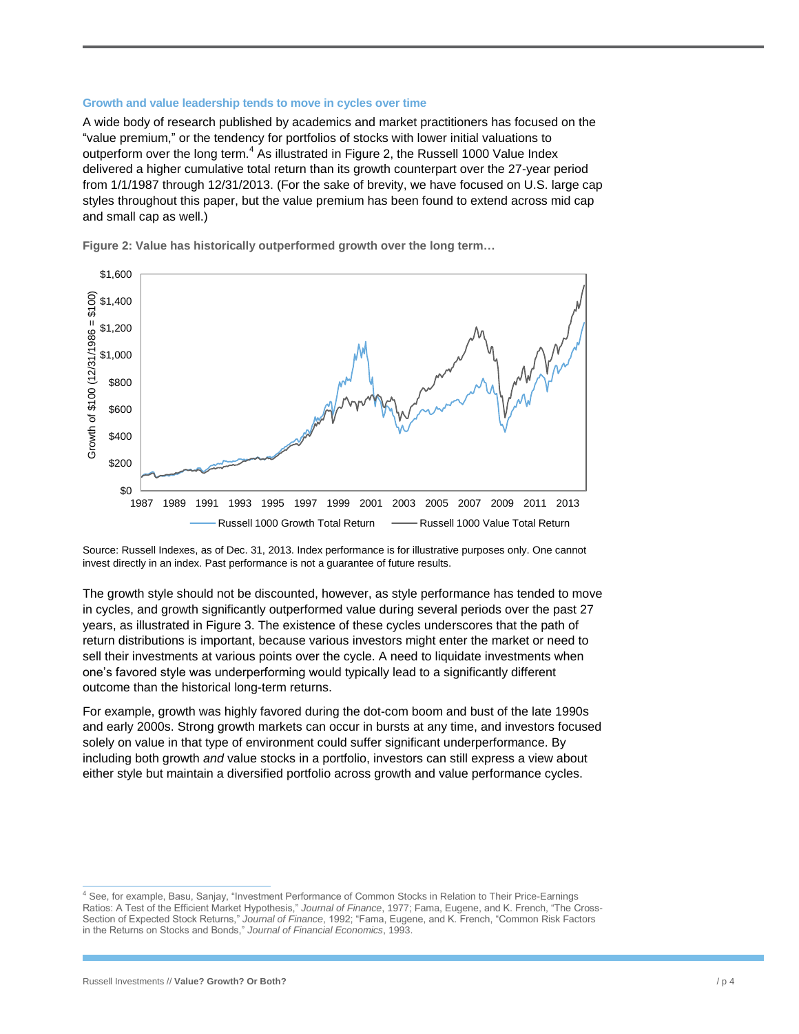#### **Growth and value leadership tends to move in cycles over time**

A wide body of research published by academics and market practitioners has focused on the "value premium," or the tendency for portfolios of stocks with lower initial valuations to outperform over the long term. $4$  As illustrated in Figure 2, the Russell 1000 Value Index delivered a higher cumulative total return than its growth counterpart over the 27-year period from 1/1/1987 through 12/31/2013. (For the sake of brevity, we have focused on U.S. large cap styles throughout this paper, but the value premium has been found to extend across mid cap and small cap as well.)



**Figure 2: Value has historically outperformed growth over the long term…**

Source: Russell Indexes, as of Dec. 31, 2013. Index performance is for illustrative purposes only. One cannot invest directly in an index. Past performance is not a guarantee of future results.

The growth style should not be discounted, however, as style performance has tended to move in cycles, and growth significantly outperformed value during several periods over the past 27 years, as illustrated in Figure 3. The existence of these cycles underscores that the path of return distributions is important, because various investors might enter the market or need to sell their investments at various points over the cycle. A need to liquidate investments when one's favored style was underperforming would typically lead to a significantly different outcome than the historical long-term returns.

For example, growth was highly favored during the dot-com boom and bust of the late 1990s and early 2000s. Strong growth markets can occur in bursts at any time, and investors focused solely on value in that type of environment could suffer significant underperformance. By including both growth *and* value stocks in a portfolio, investors can still express a view about either style but maintain a diversified portfolio across growth and value performance cycles.

1

<sup>4</sup> See, for example, Basu, Sanjay, "Investment Performance of Common Stocks in Relation to Their Price-Earnings Ratios: A Test of the Efficient Market Hypothesis," *Journal of Finance*, 1977; Fama, Eugene, and K. French, "The Cross-Section of Expected Stock Returns," *Journal of Finance*, 1992; "Fama, Eugene, and K. French, "Common Risk Factors in the Returns on Stocks and Bonds," *Journal of Financial Economics*, 1993.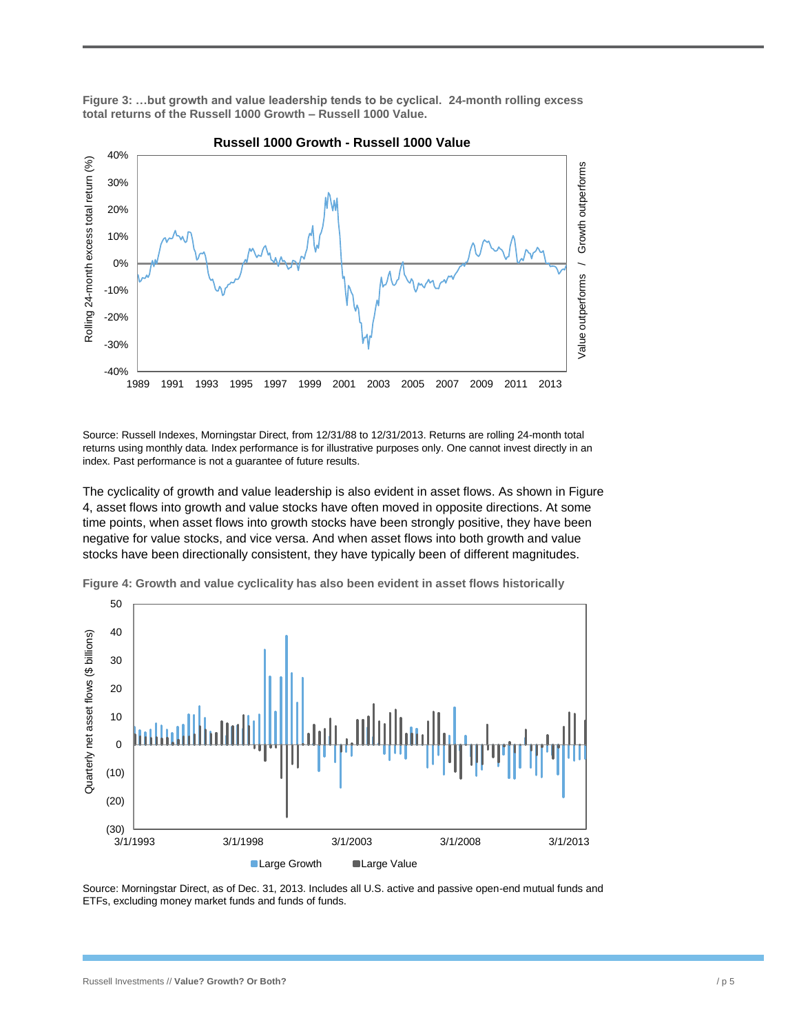**Figure 3: …but growth and value leadership tends to be cyclical. 24-month rolling excess total returns of the Russell 1000 Growth – Russell 1000 Value.**



**Russell 1000 Growth - Russell 1000 Value**

Source: Russell Indexes, Morningstar Direct, from 12/31/88 to 12/31/2013. Returns are rolling 24-month total returns using monthly data. Index performance is for illustrative purposes only. One cannot invest directly in an index. Past performance is not a guarantee of future results.

The cyclicality of growth and value leadership is also evident in asset flows. As shown in Figure 4, asset flows into growth and value stocks have often moved in opposite directions. At some time points, when asset flows into growth stocks have been strongly positive, they have been negative for value stocks, and vice versa. And when asset flows into both growth and value stocks have been directionally consistent, they have typically been of different magnitudes.



**Figure 4: Growth and value cyclicality has also been evident in asset flows historically**

Source: Morningstar Direct, as of Dec. 31, 2013. Includes all U.S. active and passive open-end mutual funds and ETFs, excluding money market funds and funds of funds.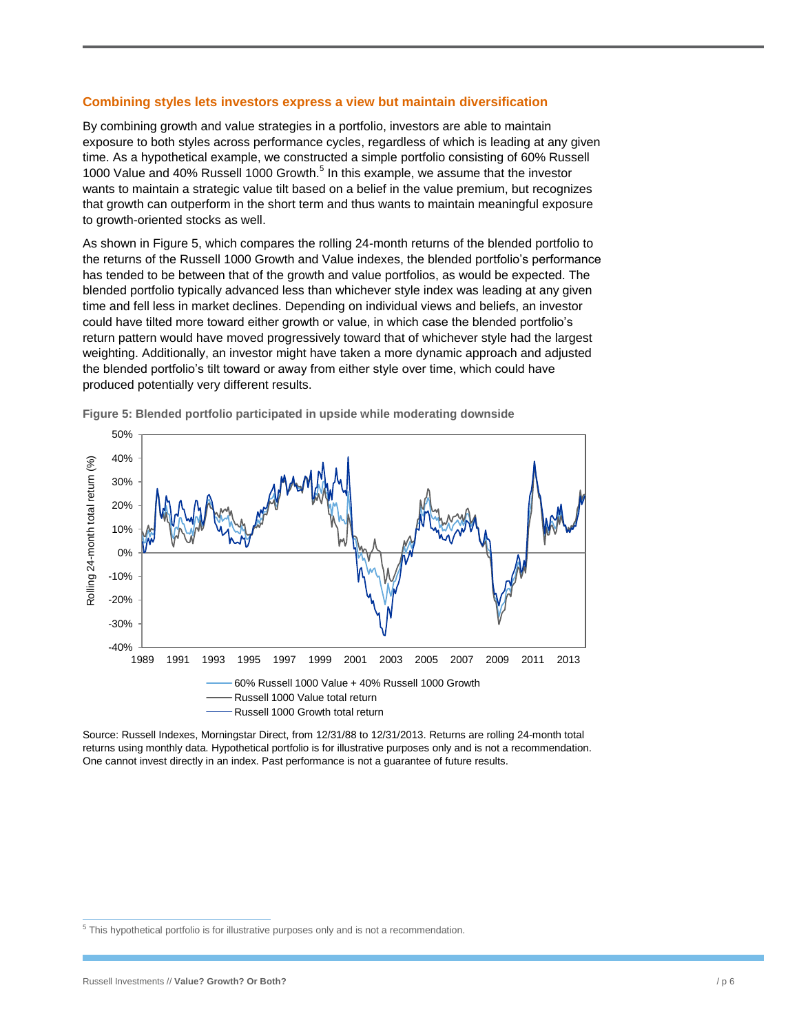#### **Combining styles lets investors express a view but maintain diversification**

By combining growth and value strategies in a portfolio, investors are able to maintain exposure to both styles across performance cycles, regardless of which is leading at any given time. As a hypothetical example, we constructed a simple portfolio consisting of 60% Russell 1000 Value and 40% Russell 1000 Growth.<sup>5</sup> In this example, we assume that the investor wants to maintain a strategic value tilt based on a belief in the value premium, but recognizes that growth can outperform in the short term and thus wants to maintain meaningful exposure to growth-oriented stocks as well.

As shown in Figure 5, which compares the rolling 24-month returns of the blended portfolio to the returns of the Russell 1000 Growth and Value indexes, the blended portfolio's performance has tended to be between that of the growth and value portfolios, as would be expected. The blended portfolio typically advanced less than whichever style index was leading at any given time and fell less in market declines. Depending on individual views and beliefs, an investor could have tilted more toward either growth or value, in which case the blended portfolio's return pattern would have moved progressively toward that of whichever style had the largest weighting. Additionally, an investor might have taken a more dynamic approach and adjusted the blended portfolio's tilt toward or away from either style over time, which could have produced potentially very different results.



**Figure 5: Blended portfolio participated in upside while moderating downside**

Source: Russell Indexes, Morningstar Direct, from 12/31/88 to 12/31/2013. Returns are rolling 24-month total returns using monthly data. Hypothetical portfolio is for illustrative purposes only and is not a recommendation. One cannot invest directly in an index. Past performance is not a guarantee of future results.

 5 This hypothetical portfolio is for illustrative purposes only and is not a recommendation.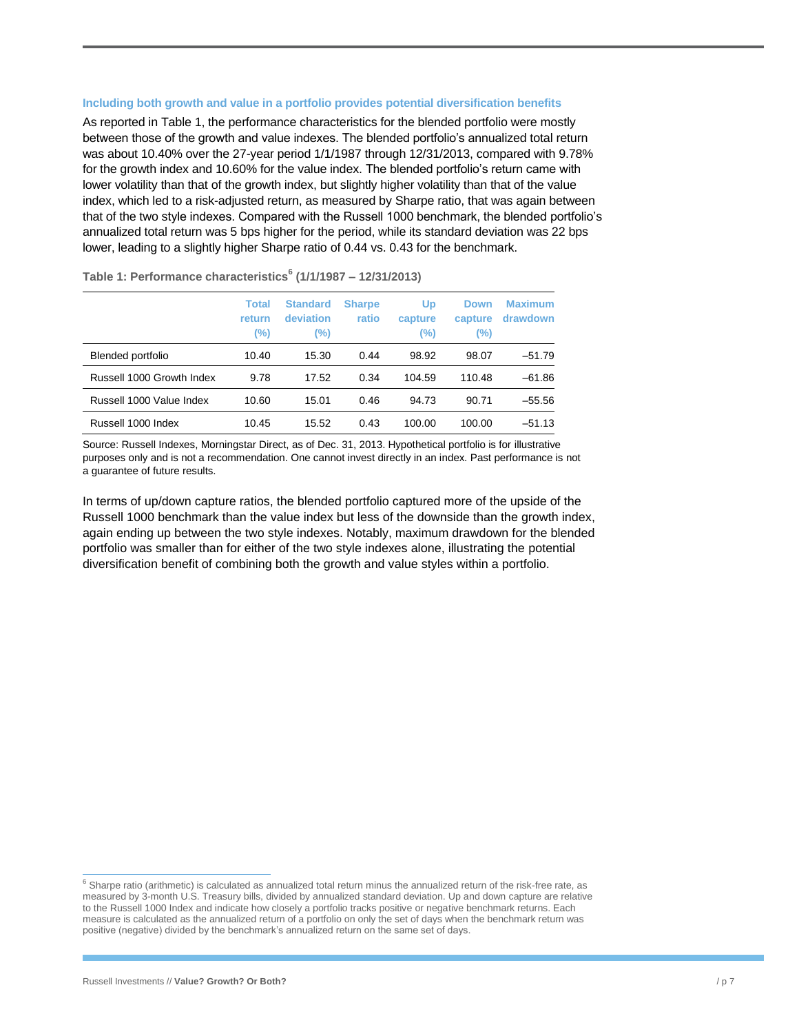#### **Including both growth and value in a portfolio provides potential diversification benefits**

As reported in Table 1, the performance characteristics for the blended portfolio were mostly between those of the growth and value indexes. The blended portfolio's annualized total return was about 10.40% over the 27-year period 1/1/1987 through 12/31/2013, compared with 9.78% for the growth index and 10.60% for the value index. The blended portfolio's return came with lower volatility than that of the growth index, but slightly higher volatility than that of the value index, which led to a risk-adjusted return, as measured by Sharpe ratio, that was again between that of the two style indexes. Compared with the Russell 1000 benchmark, the blended portfolio's annualized total return was 5 bps higher for the period, while its standard deviation was 22 bps lower, leading to a slightly higher Sharpe ratio of 0.44 vs. 0.43 for the benchmark.

|                           | <b>Total</b><br><b>return</b><br>(%) | <b>Standard</b><br>deviation<br>(%) | <b>Sharpe</b><br>ratio | Up<br>capture<br>(%) | Down<br>capture<br>(%) | <b>Maximum</b><br>drawdown |
|---------------------------|--------------------------------------|-------------------------------------|------------------------|----------------------|------------------------|----------------------------|
| Blended portfolio         | 10.40                                | 15.30                               | 0.44                   | 98.92                | 98.07                  | $-51.79$                   |
| Russell 1000 Growth Index | 9.78                                 | 17.52                               | 0.34                   | 104.59               | 110.48                 | $-61.86$                   |
| Russell 1000 Value Index  | 10.60                                | 15.01                               | 0.46                   | 94.73                | 90.71                  | $-55.56$                   |
| Russell 1000 Index        | 10.45                                | 15.52                               | 0.43                   | 100.00               | 100.00                 | $-51.13$                   |

**Table 1: Performance characteristics<sup>6</sup> (1/1/1987 – 12/31/2013)**

Source: Russell Indexes, Morningstar Direct, as of Dec. 31, 2013. Hypothetical portfolio is for illustrative purposes only and is not a recommendation. One cannot invest directly in an index. Past performance is not a guarantee of future results.

In terms of up/down capture ratios, the blended portfolio captured more of the upside of the Russell 1000 benchmark than the value index but less of the downside than the growth index, again ending up between the two style indexes. Notably, maximum drawdown for the blended portfolio was smaller than for either of the two style indexes alone, illustrating the potential diversification benefit of combining both the growth and value styles within a portfolio.

1

 $6$  Sharpe ratio (arithmetic) is calculated as annualized total return minus the annualized return of the risk-free rate, as measured by 3-month U.S. Treasury bills, divided by annualized standard deviation. Up and down capture are relative to the Russell 1000 Index and indicate how closely a portfolio tracks positive or negative benchmark returns. Each measure is calculated as the annualized return of a portfolio on only the set of days when the benchmark return was positive (negative) divided by the benchmark's annualized return on the same set of days.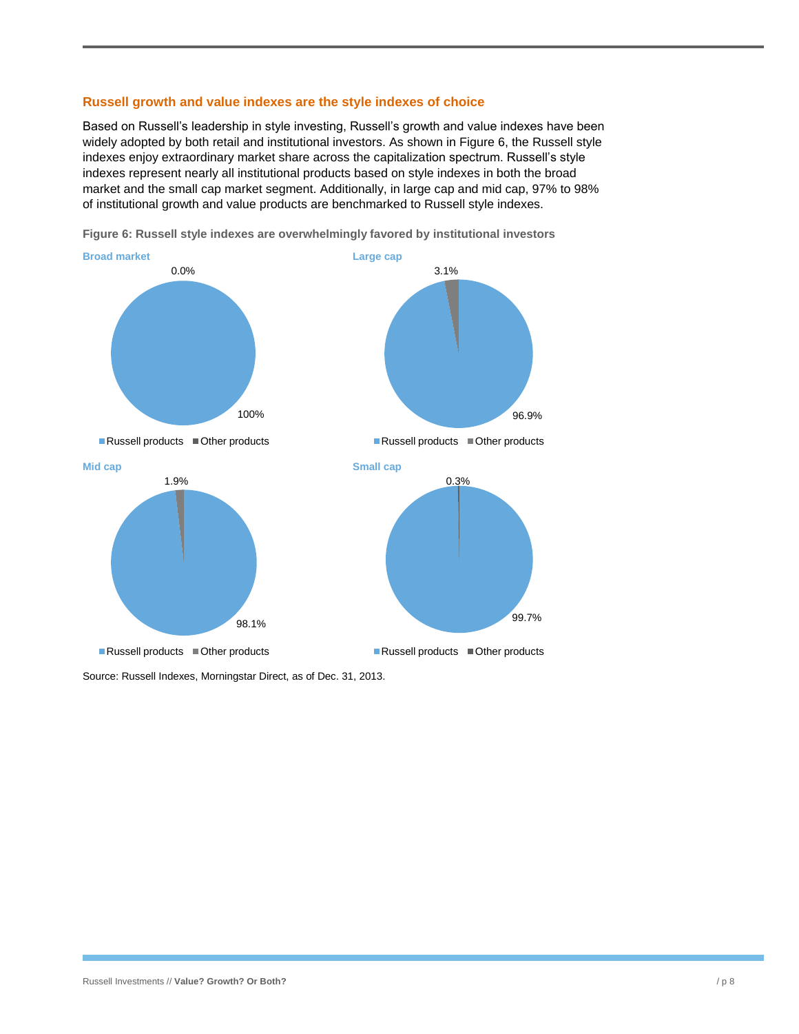#### **Russell growth and value indexes are the style indexes of choice**

Based on Russell's leadership in style investing, Russell's growth and value indexes have been widely adopted by both retail and institutional investors. As shown in Figure 6, the Russell style indexes enjoy extraordinary market share across the capitalization spectrum. Russell's style indexes represent nearly all institutional products based on style indexes in both the broad market and the small cap market segment. Additionally, in large cap and mid cap, 97% to 98% of institutional growth and value products are benchmarked to Russell style indexes.



**Figure 6: Russell style indexes are overwhelmingly favored by institutional investors**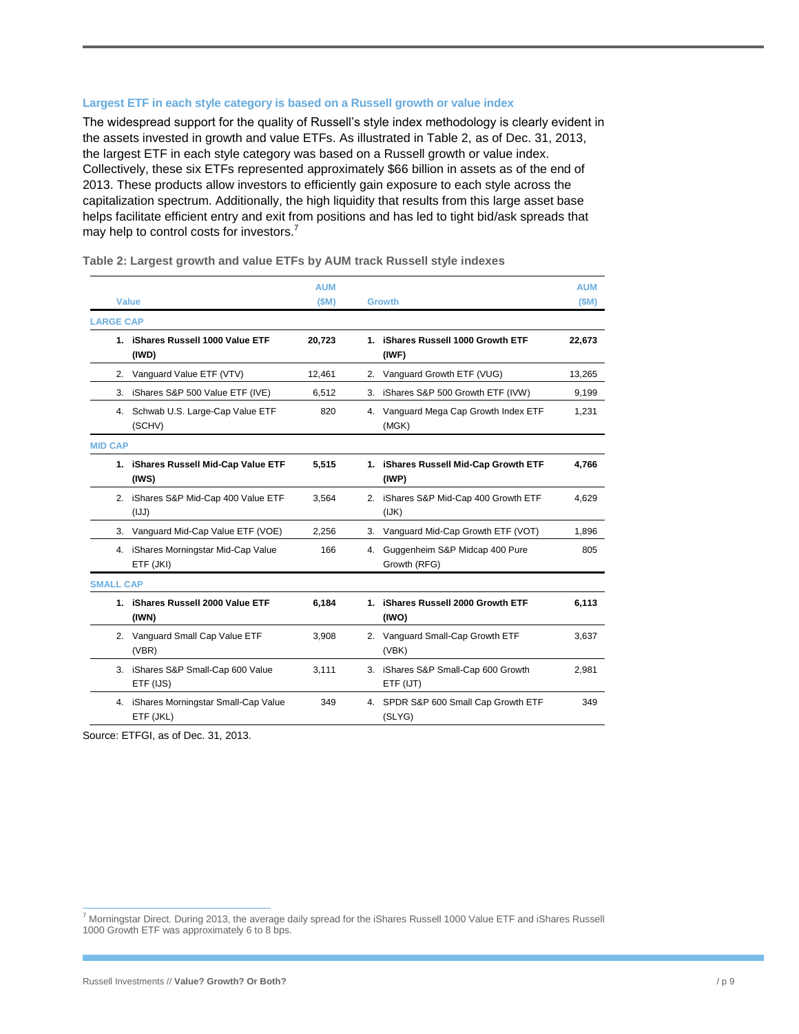#### **Largest ETF in each style category is based on a Russell growth or value index**

The widespread support for the quality of Russell's style index methodology is clearly evident in the assets invested in growth and value ETFs. As illustrated in Table 2, as of Dec. 31, 2013, the largest ETF in each style category was based on a Russell growth or value index. Collectively, these six ETFs represented approximately \$66 billion in assets as of the end of 2013. These products allow investors to efficiently gain exposure to each style across the capitalization spectrum. Additionally, the high liquidity that results from this large asset base helps facilitate efficient entry and exit from positions and has led to tight bid/ask spreads that may help to control costs for investors.<sup>7</sup>

|                  |                                                     | <b>AUM</b> |    |                                                  | <b>AUM</b> |
|------------------|-----------------------------------------------------|------------|----|--------------------------------------------------|------------|
| <b>Value</b>     |                                                     | (SM)       |    | <b>Growth</b>                                    | (SM)       |
| <b>LARGE CAP</b> |                                                     |            |    |                                                  |            |
| 1.               | iShares Russell 1000 Value ETF<br>(IWD)             | 20,723     | 1. | iShares Russell 1000 Growth ETF<br>(IWF)         | 22,673     |
| 2.               | Vanguard Value ETF (VTV)                            | 12,461     |    | 2. Vanguard Growth ETF (VUG)                     | 13,265     |
| 3.               | iShares S&P 500 Value ETF (IVE)                     | 6,512      | 3. | iShares S&P 500 Growth ETF (IVW)                 | 9,199      |
| 4.               | Schwab U.S. Large-Cap Value ETF<br>(SCHV)           | 820        |    | 4. Vanguard Mega Cap Growth Index ETF<br>(MGK)   | 1,231      |
| <b>MID CAP</b>   |                                                     |            |    |                                                  |            |
|                  | 1. iShares Russell Mid-Cap Value ETF<br>$($ IWS $)$ | 5,515      |    | 1. iShares Russell Mid-Cap Growth ETF<br>(IWP)   | 4,766      |
|                  | 2. iShares S&P Mid-Cap 400 Value ETF<br>(LJ)        | 3,564      |    | 2. iShares S&P Mid-Cap 400 Growth ETF<br>(IJK)   | 4,629      |
| 3.               | Vanguard Mid-Cap Value ETF (VOE)                    | 2.256      |    | 3. Vanguard Mid-Cap Growth ETF (VOT)             | 1,896      |
|                  | 4. iShares Morningstar Mid-Cap Value<br>ETF (JKI)   | 166        | 4. | Guggenheim S&P Midcap 400 Pure<br>Growth (RFG)   | 805        |
| <b>SMALL CAP</b> |                                                     |            |    |                                                  |            |
|                  | 1. iShares Russell 2000 Value ETF<br>(IWN)          | 6,184      |    | 1. iShares Russell 2000 Growth ETF<br>(IWO)      | 6,113      |
|                  | 2. Vanguard Small Cap Value ETF<br>(VBR)            | 3,908      |    | 2. Vanguard Small-Cap Growth ETF<br>(VBK)        | 3,637      |
|                  | 3. iShares S&P Small-Cap 600 Value<br>ETF (IJS)     | 3,111      |    | 3. iShares S&P Small-Cap 600 Growth<br>ETF (IJT) | 2,981      |
| 4.               | iShares Morningstar Small-Cap Value<br>ETF (JKL)    | 349        |    | 4. SPDR S&P 600 Small Cap Growth ETF<br>(SLYG)   | 349        |

**Table 2: Largest growth and value ETFs by AUM track Russell style indexes**

Source: ETFGI, as of Dec. 31, 2013.

1

 $^7$  Morningstar Direct. During 2013, the average daily spread for the iShares Russell 1000 Value ETF and iShares Russell 1000 Growth ETF was approximately 6 to 8 bps.